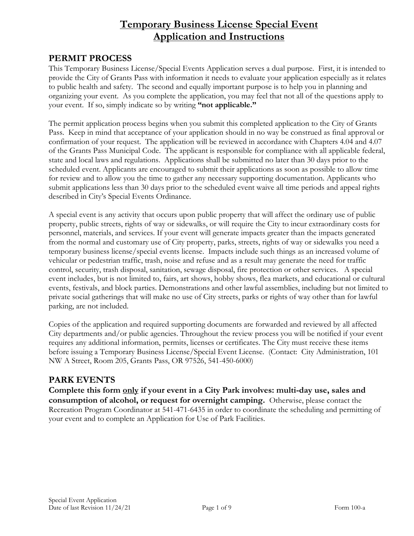# **Temporary Business License Special Event Application and Instructions**

#### **PERMIT PROCESS**

This Temporary Business License/Special Events Application serves a dual purpose. First, it is intended to provide the City of Grants Pass with information it needs to evaluate your application especially as it relates to public health and safety. The second and equally important purpose is to help you in planning and organizing your event. As you complete the application, you may feel that not all of the questions apply to your event. If so, simply indicate so by writing **"not applicable."**

The permit application process begins when you submit this completed application to the City of Grants Pass. Keep in mind that acceptance of your application should in no way be construed as final approval or confirmation of your request. The application will be reviewed in accordance with Chapters 4.04 and 4.07 of the Grants Pass Municipal Code. The applicant is responsible for compliance with all applicable federal, state and local laws and regulations. Applications shall be submitted no later than 30 days prior to the scheduled event. Applicants are encouraged to submit their applications as soon as possible to allow time for review and to allow you the time to gather any necessary supporting documentation. Applicants who submit applications less than 30 days prior to the scheduled event waive all time periods and appeal rights described in City's Special Events Ordinance.

A special event is any activity that occurs upon public property that will affect the ordinary use of public property, public streets, rights of way or sidewalks, or will require the City to incur extraordinary costs for personnel, materials, and services. If your event will generate impacts greater than the impacts generated from the normal and customary use of City property, parks, streets, rights of way or sidewalks you need a temporary business license/special events license. Impacts include such things as an increased volume of vehicular or pedestrian traffic, trash, noise and refuse and as a result may generate the need for traffic control, security, trash disposal, sanitation, sewage disposal, fire protection or other services. A special event includes, but is not limited to, fairs, art shows, hobby shows, flea markets, and educational or cultural events, festivals, and block parties. Demonstrations and other lawful assemblies, including but not limited to private social gatherings that will make no use of City streets, parks or rights of way other than for lawful parking, are not included.

Copies of the application and required supporting documents are forwarded and reviewed by all affected City departments and/or public agencies. Throughout the review process you will be notified if your event requires any additional information, permits, licenses or certificates. The City must receive these items before issuing a Temporary Business License/Special Event License. (Contact: City Administration, 101 NW A Street, Room 205, Grants Pass, OR 97526, 541-450-6000)

#### **PARK EVENTS**

**Complete this form only if your event in a City Park involves: multi-day use, sales and consumption of alcohol, or request for overnight camping.** Otherwise, please contact the Recreation Program Coordinator at 541-471-6435 in order to coordinate the scheduling and permitting of your event and to complete an Application for Use of Park Facilities.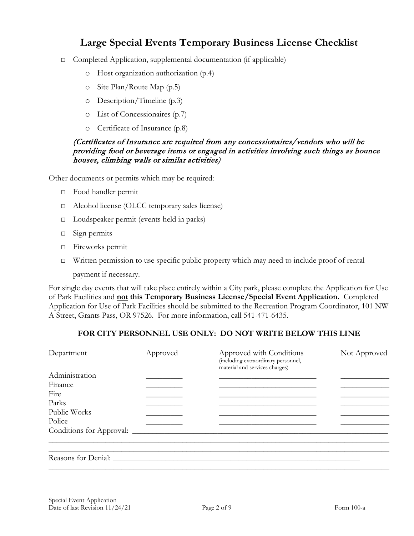# **Large Special Events Temporary Business License Checklist**

- □ Completed Application, supplemental documentation (if applicable)
	- o Host organization authorization (p.4)
	- o Site Plan/Route Map (p.5)
	- o Description/Timeline (p.3)
	- o List of Concessionaires (p.7)
	- o Certificate of Insurance (p.8)

#### (Certificates of Insurance are required from any concessionaires/vendors who will be providing food or beverage items or engaged in activities involving such things as bounce houses, climbing walls or similar activities)

Other documents or permits which may be required:

- □ Food handler permit
- □ Alcohol license (OLCC temporary sales license)
- □ Loudspeaker permit (events held in parks)
- □ Sign permits
- □ Fireworks permit
- □ Written permission to use specific public property which may need to include proof of rental

payment if necessary.

For single day events that will take place entirely within a City park, please complete the Application for Use of Park Facilities and **not this Temporary Business License/Special Event Application.** Completed Application for Use of Park Facilities should be submitted to the Recreation Program Coordinator, 101 NW A Street, Grants Pass, OR 97526. For more information, call 541-471-6435.

#### **FOR CITY PERSONNEL USE ONLY: DO NOT WRITE BELOW THIS LINE**

| Department               | <u>Approved</u> | <b>Approved with Conditions</b><br>(including extraordinary personnel,<br>material and services charges) | Not Approved |
|--------------------------|-----------------|----------------------------------------------------------------------------------------------------------|--------------|
| Administration           |                 |                                                                                                          |              |
| Finance                  |                 |                                                                                                          |              |
| Fire                     |                 |                                                                                                          |              |
| Parks                    |                 |                                                                                                          |              |
| Public Works             |                 |                                                                                                          |              |
| Police                   |                 |                                                                                                          |              |
| Conditions for Approval: |                 |                                                                                                          |              |
|                          |                 |                                                                                                          |              |
|                          |                 |                                                                                                          |              |
| Reasons for Denial:      |                 |                                                                                                          |              |
|                          |                 |                                                                                                          |              |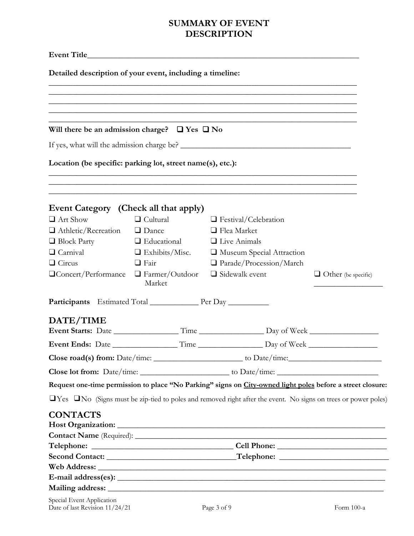# **SUMMARY OF EVENT DESCRIPTION**

| Detailed description of your event, including a timeline:  |                                 |                                                                                                                            |                            |
|------------------------------------------------------------|---------------------------------|----------------------------------------------------------------------------------------------------------------------------|----------------------------|
|                                                            |                                 |                                                                                                                            |                            |
|                                                            |                                 |                                                                                                                            |                            |
|                                                            |                                 |                                                                                                                            |                            |
| Will there be an admission charge? $\Box$ Yes $\Box$ No    |                                 |                                                                                                                            |                            |
|                                                            |                                 |                                                                                                                            |                            |
| Location (be specific: parking lot, street name(s), etc.): |                                 |                                                                                                                            |                            |
|                                                            |                                 | ,我们也不能在这里的人,我们也不能在这里的人,我们也不能在这里的人,我们也不能在这里的人,我们也不能在这里的人,我们也不能在这里的人,我们也不能在这里的人,我们也                                          |                            |
| Event Category (Check all that apply)                      |                                 |                                                                                                                            |                            |
| $\Box$ Art Show                                            | $\Box$ Cultural                 | $\Box$ Festival/Celebration                                                                                                |                            |
| $\Box$ Athletic/Recreation $\Box$ Dance                    |                                 | $\Box$ Flea Market                                                                                                         |                            |
| $\Box$ Block Party                                         | $\Box$ Educational              | $\Box$ Live Animals                                                                                                        |                            |
| $\Box$ Carnival                                            | $\Box$ Exhibits/Misc.           | Museum Special Attraction                                                                                                  |                            |
| $\Box$ Circus                                              | $\Box$ Fair                     | $\Box$ Parade/Procession/March                                                                                             |                            |
| $\Box$ Concert/Performance                                 | $\Box$ Farmer/Outdoor<br>Market | $\Box$ Sidewalk event                                                                                                      | $\Box$ Other (be specific) |
| <b>Participants</b> Estimated Total Per Day                |                                 |                                                                                                                            |                            |
| DATE/TIME                                                  |                                 |                                                                                                                            |                            |
| Event Ends: Date                                           | Time                            | Day of Week                                                                                                                |                            |
|                                                            |                                 | Close road(s) from: $Date/time:$ to $Date/time:$                                                                           |                            |
|                                                            |                                 |                                                                                                                            |                            |
|                                                            |                                 | Request one-time permission to place "No Parking" signs on City-owned light poles before a street closure:                 |                            |
|                                                            |                                 | $\Box$ Yes $\Box$ No (Signs must be zip-tied to poles and removed right after the event. No signs on trees or power poles) |                            |
|                                                            |                                 |                                                                                                                            |                            |
| <b>CONTACTS</b>                                            |                                 |                                                                                                                            |                            |
|                                                            |                                 |                                                                                                                            |                            |
|                                                            |                                 |                                                                                                                            |                            |
|                                                            |                                 |                                                                                                                            |                            |
|                                                            |                                 |                                                                                                                            |                            |
|                                                            |                                 |                                                                                                                            |                            |
|                                                            |                                 |                                                                                                                            |                            |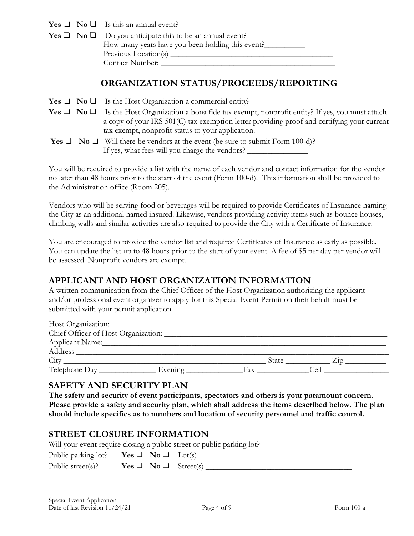$Yes \Box No \Box Is this an annual event?$ 

|  | <b>Yes</b> $\Box$ <b>No</b> $\Box$ Do you anticipate this to be an annual event? |
|--|----------------------------------------------------------------------------------|
|  | How many years have you been holding this event?                                 |
|  | Previous Location(s) __                                                          |
|  | Contact Number:                                                                  |

### **ORGANIZATION STATUS/PROCEEDS/REPORTING**

| <b>Yes</b> $\Box$ <b>No</b> $\Box$ Is the Host Organization a commercial entity? |  |
|----------------------------------------------------------------------------------|--|
|----------------------------------------------------------------------------------|--|

**Yes**  $\Box$  **No**  $\Box$  Is the Host Organization a bona fide tax exempt, nonprofit entity? If yes, you must attach a copy of your IRS 501(C) tax exemption letter providing proof and certifying your current tax exempt, nonprofit status to your application.

|  | <b>Yes</b> $\Box$ <b>No</b> $\Box$ Will there be vendors at the event (be sure to submit Form 100-d)? |
|--|-------------------------------------------------------------------------------------------------------|
|  | If yes, what fees will you charge the vendors?                                                        |

You will be required to provide a list with the name of each vendor and contact information for the vendor no later than 48 hours prior to the start of the event (Form 100-d). This information shall be provided to the Administration office (Room 205).

Vendors who will be serving food or beverages will be required to provide Certificates of Insurance naming the City as an additional named insured. Likewise, vendors providing activity items such as bounce houses, climbing walls and similar activities are also required to provide the City with a Certificate of Insurance.

You are encouraged to provide the vendor list and required Certificates of Insurance as early as possible. You can update the list up to 48 hours prior to the start of your event. A fee of \$5 per day per vendor will be assessed. Nonprofit vendors are exempt.

# **APPLICANT AND HOST ORGANIZATION INFORMATION**

A written communication from the Chief Officer of the Host Organization authorizing the applicant and/or professional event organizer to apply for this Special Event Permit on their behalf must be submitted with your permit application.

| Host Organization:                  |         |       |      |  |
|-------------------------------------|---------|-------|------|--|
| Chief Officer of Host Organization: |         |       |      |  |
| Applicant Name:                     |         |       |      |  |
| Address                             |         |       |      |  |
| City                                |         | State | 7.11 |  |
| Telephone Day                       | Evening | Fax   | .ell |  |

#### **SAFETY AND SECURITY PLAN**

**The safety and security of event participants, spectators and others is your paramount concern. Please provide a safety and security plan, which shall address the items described below. The plan should include specifics as to numbers and location of security personnel and traffic control.**

### **STREET CLOSURE INFORMATION**

Will your event require closing a public street or public parking lot?

| Public parking lot? Yes $\Box$ No $\Box$ Lot(s) |  |                                |
|-------------------------------------------------|--|--------------------------------|
| Public street(s)?                               |  | Yes $\Box$ No $\Box$ Street(s) |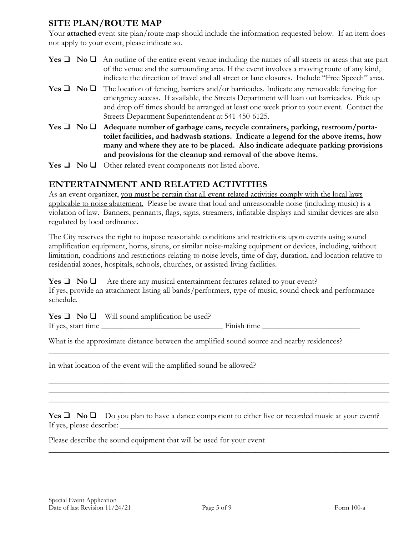### **SITE PLAN/ROUTE MAP**

Your **attached** event site plan/route map should include the information requested below. If an item does not apply to your event, please indicate so.

- **Yes** ❑ **No** ❑ An outline of the entire event venue including the names of all streets or areas that are part of the venue and the surrounding area. If the event involves a moving route of any kind, indicate the direction of travel and all street or lane closures. Include "Free Speech" area.
- **Yes** ❑ **No** ❑ The location of fencing, barriers and/or barricades. Indicate any removable fencing for emergency access. If available, the Streets Department will loan out barricades. Pick up and drop off times should be arranged at least one week prior to your event. Contact the Streets Department Superintendent at 541-450-6125.
- **Yes** ❑ **No** ❑ **Adequate number of garbage cans, recycle containers, parking, restroom/portatoilet facilities, and hadwash stations. Indicate a legend for the above items, how many and where they are to be placed. Also indicate adequate parking provisions and provisions for the cleanup and removal of the above items.**
- **Yes** ❑ **No** ❑ Other related event components not listed above.

#### **ENTERTAINMENT AND RELATED ACTIVITIES**

As an event organizer, you must be certain that all event-related activities comply with the local laws applicable to noise abatement. Please be aware that loud and unreasonable noise (including music) is a violation of law. Banners, pennants, flags, signs, streamers, inflatable displays and similar devices are also regulated by local ordinance.

The City reserves the right to impose reasonable conditions and restrictions upon events using sound amplification equipment, horns, sirens, or similar noise-making equipment or devices, including, without limitation, conditions and restrictions relating to noise levels, time of day, duration, and location relative to residential zones, hospitals, schools, churches, or assisted-living facilities.

**Yes**  $\Box$  **No**  $\Box$  Are there any musical entertainment features related to your event? If yes, provide an attachment listing all bands/performers, type of music, sound check and performance schedule.

**Yes** ❑ **No** ❑ Will sound amplification be used? If yes, start time \_\_\_\_\_\_\_\_\_\_\_\_\_\_\_\_\_\_\_\_\_\_\_\_\_\_\_\_\_\_ Finish time \_\_\_\_\_\_\_\_\_\_\_\_\_\_\_\_\_\_\_\_\_\_\_\_

What is the approximate distance between the amplified sound source and nearby residences?

In what location of the event will the amplified sound be allowed?

**Yes □ No □** Do you plan to have a dance component to either live or recorded music at your event? If yes, please describe:

\_\_\_\_\_\_\_\_\_\_\_\_\_\_\_\_\_\_\_\_\_\_\_\_\_\_\_\_\_\_\_\_\_\_\_\_\_\_\_\_\_\_\_\_\_\_\_\_\_\_\_\_\_\_\_\_\_\_\_\_\_\_\_\_\_\_\_\_\_\_\_\_\_\_\_\_\_\_\_\_\_\_\_\_

\_\_\_\_\_\_\_\_\_\_\_\_\_\_\_\_\_\_\_\_\_\_\_\_\_\_\_\_\_\_\_\_\_\_\_\_\_\_\_\_\_\_\_\_\_\_\_\_\_\_\_\_\_\_\_\_\_\_\_\_\_\_\_\_\_\_\_\_\_\_\_\_\_\_\_\_\_\_\_\_\_\_\_\_

\_\_\_\_\_\_\_\_\_\_\_\_\_\_\_\_\_\_\_\_\_\_\_\_\_\_\_\_\_\_\_\_\_\_\_\_\_\_\_\_\_\_\_\_\_\_\_\_\_\_\_\_\_\_\_\_\_\_\_\_\_\_\_\_\_\_\_\_\_\_\_\_\_\_\_\_\_\_\_\_\_\_\_\_ \_\_\_\_\_\_\_\_\_\_\_\_\_\_\_\_\_\_\_\_\_\_\_\_\_\_\_\_\_\_\_\_\_\_\_\_\_\_\_\_\_\_\_\_\_\_\_\_\_\_\_\_\_\_\_\_\_\_\_\_\_\_\_\_\_\_\_\_\_\_\_\_\_\_\_\_\_\_\_\_\_\_\_\_ \_\_\_\_\_\_\_\_\_\_\_\_\_\_\_\_\_\_\_\_\_\_\_\_\_\_\_\_\_\_\_\_\_\_\_\_\_\_\_\_\_\_\_\_\_\_\_\_\_\_\_\_\_\_\_\_\_\_\_\_\_\_\_\_\_\_\_\_\_\_\_\_\_\_\_\_\_\_\_\_\_\_\_\_

Please describe the sound equipment that will be used for your event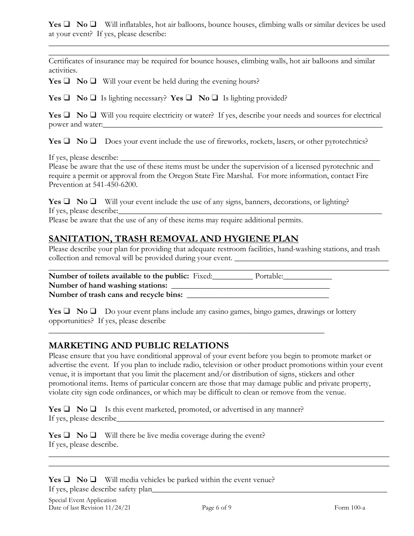**Yes □ No □** Will inflatables, hot air balloons, bounce houses, climbing walls or similar devices be used at your event? If yes, please describe:

\_\_\_\_\_\_\_\_\_\_\_\_\_\_\_\_\_\_\_\_\_\_\_\_\_\_\_\_\_\_\_\_\_\_\_\_\_\_\_\_\_\_\_\_\_\_\_\_\_\_\_\_\_\_\_\_\_\_\_\_\_\_\_\_\_\_\_\_\_\_\_\_\_\_\_\_\_\_\_\_\_\_\_\_ \_\_\_\_\_\_\_\_\_\_\_\_\_\_\_\_\_\_\_\_\_\_\_\_\_\_\_\_\_\_\_\_\_\_\_\_\_\_\_\_\_\_\_\_\_\_\_\_\_\_\_\_\_\_\_\_\_\_\_\_\_\_\_\_\_\_\_\_\_\_\_\_\_\_\_\_\_\_\_\_\_\_\_\_

Certificates of insurance may be required for bounce houses, climbing walls, hot air balloons and similar activities.

**Yes**  $\Box$  **<b>No**  $\Box$  Will your event be held during the evening hours?

**Yes** ❑ **No** ❑ Is lighting necessary? **Yes** ❑ **No** ❑ Is lighting provided?

**Yes** ❑ **No** ❑ Will you require electricity or water? If yes, describe your needs and sources for electrical power and water:

**Yes** ❑ **No** ❑ Does your event include the use of fireworks, rockets, lasers, or other pyrotechnics?

If yes, please describe:

Please be aware that the use of these items must be under the supervision of a licensed pyrotechnic and require a permit or approval from the Oregon State Fire Marshal. For more information, contact Fire Prevention at 541-450-6200.

**Yes** ❑ **No** ❑ Will your event include the use of any signs, banners, decorations, or lighting? If yes, please describe:

Please be aware that the use of any of these items may require additional permits.

### **SANITATION, TRASH REMOVAL AND HYGIENE PLAN**

Please describe your plan for providing that adequate restroom facilities, hand-washing stations, and trash collection and removal will be provided during your event. **\_\_\_\_\_\_\_\_\_\_\_\_\_\_\_\_\_\_\_\_\_\_\_\_\_\_\_\_\_\_\_\_\_\_\_\_\_\_**

**\_\_\_\_\_\_\_\_\_\_\_\_\_\_\_\_\_\_\_\_\_\_\_\_\_\_\_\_\_\_\_\_\_\_\_\_\_\_\_\_\_\_\_\_\_\_\_\_\_\_\_\_\_\_\_\_\_\_\_\_\_\_\_\_\_\_\_\_\_\_\_\_\_\_\_\_\_\_\_\_\_\_\_\_ Number of toilets available to the public:** Fixed: Portable: **Number of hand washing stations: \_\_\_\_\_\_\_\_\_\_\_\_\_\_\_\_\_\_\_\_\_\_\_\_\_\_\_\_\_\_\_\_\_\_\_\_\_\_\_ Number of trash cans and recycle bins: \_\_\_\_\_\_\_\_\_\_\_\_\_\_\_\_\_\_\_\_\_\_\_\_\_\_\_\_\_\_\_\_\_\_\_**

 $\overline{\phantom{a}}$  , and the contract of the contract of the contract of the contract of the contract of the contract of the contract of the contract of the contract of the contract of the contract of the contract of the contrac

**Yes** ❑ **No** ❑ Do your event plans include any casino games, bingo games, drawings or lottery opportunities? If yes, please describe

#### **MARKETING AND PUBLIC RELATIONS**

Please ensure that you have conditional approval of your event before you begin to promote market or advertise the event. If you plan to include radio, television or other product promotions within your event venue, it is important that you limit the placement and/or distribution of signs, stickers and other promotional items. Items of particular concern are those that may damage public and private property, violate city sign code ordinances, or which may be difficult to clean or remove from the venue.

**Yes**  $\Box$  **<b>No**  $\Box$  Is this event marketed, promoted, or advertised in any manner? If yes, please describe\_\_\_\_\_\_\_\_\_\_\_\_\_\_\_\_\_\_\_\_\_\_\_\_\_\_\_\_\_\_\_\_\_\_\_\_\_\_\_\_\_\_\_\_\_\_\_\_\_\_\_\_\_\_\_\_\_\_\_\_\_\_\_\_\_\_

**Yes**  $\Box$  **<b>No**  $\Box$  Will there be live media coverage during the event? If yes, please describe.

**Yes**  $\Box$  **<b>No**  $\Box$  Will media vehicles be parked within the event venue? If yes, please describe safety plan\_\_\_\_\_\_\_\_\_\_\_\_\_\_\_\_\_\_\_\_\_\_\_\_\_\_\_\_\_\_\_\_\_\_\_\_\_\_\_\_\_\_\_\_\_\_\_\_\_\_\_\_\_\_\_\_\_\_

\_\_\_\_\_\_\_\_\_\_\_\_\_\_\_\_\_\_\_\_\_\_\_\_\_\_\_\_\_\_\_\_\_\_\_\_\_\_\_\_\_\_\_\_\_\_\_\_\_\_\_\_\_\_\_\_\_\_\_\_\_\_\_\_\_\_\_\_\_\_\_\_\_\_\_\_\_\_\_\_\_\_\_\_ \_\_\_\_\_\_\_\_\_\_\_\_\_\_\_\_\_\_\_\_\_\_\_\_\_\_\_\_\_\_\_\_\_\_\_\_\_\_\_\_\_\_\_\_\_\_\_\_\_\_\_\_\_\_\_\_\_\_\_\_\_\_\_\_\_\_\_\_\_\_\_\_\_\_\_\_\_\_\_\_\_\_\_\_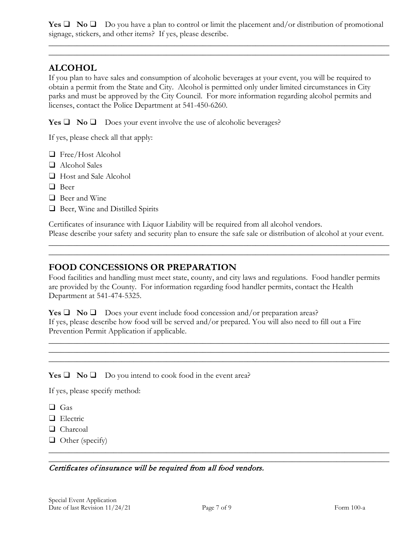**Yes**  $\Box$  **No**  $\Box$  Do you have a plan to control or limit the placement and/or distribution of promotional signage, stickers, and other items? If yes, please describe.

\_\_\_\_\_\_\_\_\_\_\_\_\_\_\_\_\_\_\_\_\_\_\_\_\_\_\_\_\_\_\_\_\_\_\_\_\_\_\_\_\_\_\_\_\_\_\_\_\_\_\_\_\_\_\_\_\_\_\_\_\_\_\_\_\_\_\_\_\_\_\_\_\_\_\_\_\_\_\_\_\_\_\_\_ \_\_\_\_\_\_\_\_\_\_\_\_\_\_\_\_\_\_\_\_\_\_\_\_\_\_\_\_\_\_\_\_\_\_\_\_\_\_\_\_\_\_\_\_\_\_\_\_\_\_\_\_\_\_\_\_\_\_\_\_\_\_\_\_\_\_\_\_\_\_\_\_\_\_\_\_\_\_\_\_\_\_\_\_

# **ALCOHOL**

If you plan to have sales and consumption of alcoholic beverages at your event, you will be required to obtain a permit from the State and City. Alcohol is permitted only under limited circumstances in City parks and must be approved by the City Council. For more information regarding alcohol permits and licenses, contact the Police Department at 541-450-6260.

**Yes**  $\Box$  **<b>No**  $\Box$  Does your event involve the use of alcoholic beverages?

If yes, please check all that apply:

- ❑ Free/Host Alcohol
- ❑ Alcohol Sales
- ❑ Host and Sale Alcohol
- ❑ Beer
- ❑ Beer and Wine
- ❑ Beer, Wine and Distilled Spirits

Certificates of insurance with Liquor Liability will be required from all alcohol vendors. Please describe your safety and security plan to ensure the safe sale or distribution of alcohol at your event.

\_\_\_\_\_\_\_\_\_\_\_\_\_\_\_\_\_\_\_\_\_\_\_\_\_\_\_\_\_\_\_\_\_\_\_\_\_\_\_\_\_\_\_\_\_\_\_\_\_\_\_\_\_\_\_\_\_\_\_\_\_\_\_\_\_\_\_\_\_\_\_\_\_\_\_\_\_\_\_\_\_\_\_\_ \_\_\_\_\_\_\_\_\_\_\_\_\_\_\_\_\_\_\_\_\_\_\_\_\_\_\_\_\_\_\_\_\_\_\_\_\_\_\_\_\_\_\_\_\_\_\_\_\_\_\_\_\_\_\_\_\_\_\_\_\_\_\_\_\_\_\_\_\_\_\_\_\_\_\_\_\_\_\_\_\_\_\_\_

#### **FOOD CONCESSIONS OR PREPARATION**

Food facilities and handling must meet state, county, and city laws and regulations. Food handler permits are provided by the County. For information regarding food handler permits, contact the Health Department at 541-474-5325.

\_\_\_\_\_\_\_\_\_\_\_\_\_\_\_\_\_\_\_\_\_\_\_\_\_\_\_\_\_\_\_\_\_\_\_\_\_\_\_\_\_\_\_\_\_\_\_\_\_\_\_\_\_\_\_\_\_\_\_\_\_\_\_\_\_\_\_\_\_\_\_\_\_\_\_\_\_\_\_\_\_\_\_\_ \_\_\_\_\_\_\_\_\_\_\_\_\_\_\_\_\_\_\_\_\_\_\_\_\_\_\_\_\_\_\_\_\_\_\_\_\_\_\_\_\_\_\_\_\_\_\_\_\_\_\_\_\_\_\_\_\_\_\_\_\_\_\_\_\_\_\_\_\_\_\_\_\_\_\_\_\_\_\_\_\_\_\_\_ \_\_\_\_\_\_\_\_\_\_\_\_\_\_\_\_\_\_\_\_\_\_\_\_\_\_\_\_\_\_\_\_\_\_\_\_\_\_\_\_\_\_\_\_\_\_\_\_\_\_\_\_\_\_\_\_\_\_\_\_\_\_\_\_\_\_\_\_\_\_\_\_\_\_\_\_\_\_\_\_\_\_\_\_

**Yes** ❑ **No** ❑ Does your event include food concession and/or preparation areas? If yes, please describe how food will be served and/or prepared. You will also need to fill out a Fire Prevention Permit Application if applicable.

**Yes** ❑ **No** ❑ Do you intend to cook food in the event area?

If yes, please specify method:

- ❑ Gas
- ❑ Electric
- ❑ Charcoal
- ❑ Other (specify)

#### Certificates of insurance will be required from all food vendors.

\_\_\_\_\_\_\_\_\_\_\_\_\_\_\_\_\_\_\_\_\_\_\_\_\_\_\_\_\_\_\_\_\_\_\_\_\_\_\_\_\_\_\_\_\_\_\_\_\_\_\_\_\_\_\_\_\_\_\_\_\_\_\_\_\_\_\_\_\_\_\_\_\_\_\_\_\_\_\_\_\_\_\_\_ \_\_\_\_\_\_\_\_\_\_\_\_\_\_\_\_\_\_\_\_\_\_\_\_\_\_\_\_\_\_\_\_\_\_\_\_\_\_\_\_\_\_\_\_\_\_\_\_\_\_\_\_\_\_\_\_\_\_\_\_\_\_\_\_\_\_\_\_\_\_\_\_\_\_\_\_\_\_\_\_\_\_\_\_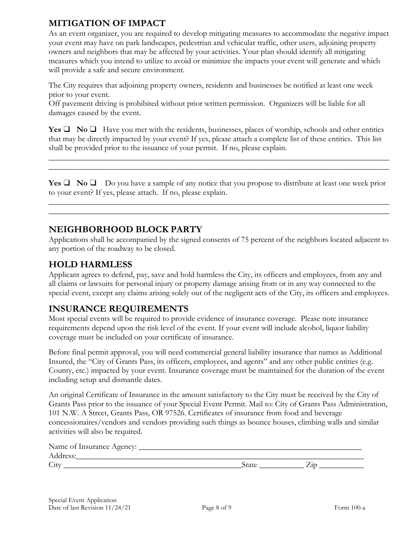# **MITIGATION OF IMPACT**

As an event organizer, you are required to develop mitigating measures to accommodate the negative impact your event may have on park landscapes, pedestrian and vehicular traffic, other users, adjoining property owners and neighbors that may be affected by your activities. Your plan should identify all mitigating measures which you intend to utilize to avoid or minimize the impacts your event will generate and which will provide a safe and secure environment.

The City requires that adjoining property owners, residents and businesses be notified at least one week prior to your event.

Off pavement driving is prohibited without prior written permission. Organizers will be liable for all damages caused by the event.

**Yes**  $\Box$  **No**  $\Box$  Have you met with the residents, businesses, places of worship, schools and other entities that may be directly impacted by your event? If yes, please attach a complete list of these entities. This list shall be provided prior to the issuance of your permit. If no, please explain.

\_\_\_\_\_\_\_\_\_\_\_\_\_\_\_\_\_\_\_\_\_\_\_\_\_\_\_\_\_\_\_**\_\_\_\_\_\_\_\_\_\_\_\_\_\_\_\_\_\_\_\_\_\_\_\_\_\_\_\_\_\_\_\_\_\_\_\_\_\_\_\_\_\_\_\_\_\_\_\_\_\_\_\_\_ \_\_\_\_\_\_\_\_\_\_\_\_\_\_\_\_\_\_\_\_\_\_\_\_\_\_\_\_\_\_\_\_\_\_\_\_\_\_\_\_\_\_\_\_\_\_\_\_\_\_\_\_\_\_\_\_\_\_\_\_\_\_\_\_\_\_\_\_\_\_\_\_\_\_\_\_\_\_\_\_\_\_\_\_**

**Yes** ❑ **No** ❑ Do you have a sample of any notice that you propose to distribute at least one week prior to your event? If yes, please attach. If no, please explain.

\_\_\_\_\_\_\_\_\_\_\_\_\_\_\_\_\_\_\_\_\_\_\_\_\_\_\_\_\_\_\_\_\_\_\_\_\_\_\_\_\_\_\_\_\_\_\_\_\_\_\_\_\_\_\_\_\_\_\_\_\_\_\_\_\_\_\_\_\_\_\_\_\_\_\_\_\_\_\_\_\_\_\_\_ \_\_\_\_\_\_\_\_\_\_\_\_\_\_\_\_\_\_\_\_\_\_\_\_\_\_\_\_\_\_\_\_\_\_\_\_\_\_\_\_\_\_\_\_\_\_\_\_\_\_\_\_\_\_\_\_\_\_\_\_\_\_\_\_\_\_\_\_\_\_\_\_\_\_\_\_\_\_\_\_\_\_\_\_

# **NEIGHBORHOOD BLOCK PARTY**

Applications shall be accompanied by the signed consents of 75 percent of the neighbors located adjacent to any portion of the roadway to be closed.

## **HOLD HARMLESS**

Applicant agrees to defend, pay, save and hold harmless the City, its officers and employees, from any and all claims or lawsuits for personal injury or property damage arising from or in any way connected to the special event, except any claims arising solely out of the negligent acts of the City, its officers and employees.

### **INSURANCE REQUIREMENTS**

Most special events will be required to provide evidence of insurance coverage. Please note insurance requirements depend upon the risk level of the event. If your event will include alcohol, liquor liability coverage must be included on your certificate of insurance.

Before final permit approval, you will need commercial general liability insurance that names as Additional Insured, the "City of Grants Pass, its officers, employees, and agents" and any other public entities (e.g. County, etc.) impacted by your event. Insurance coverage must be maintained for the duration of the event including setup and dismantle dates.

An original Certificate of Insurance in the amount satisfactory to the City must be received by the City of Grants Pass prior to the issuance of your Special Event Permit. Mail to: City of Grants Pass Administration, 101 N.W. A Street, Grants Pass, OR 97526. Certificates of insurance from food and beverage concessionaires/vendors and vendors providing such things as bounce houses, climbing walls and similar activities will also be required.

| Name of Insurance Agency: |       |  |
|---------------------------|-------|--|
| Address:                  |       |  |
| City                      | State |  |